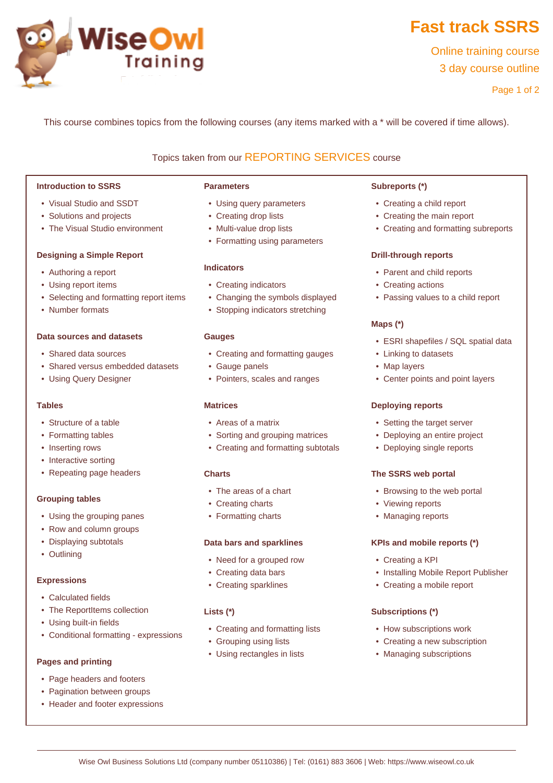

# **Fast track SSRS**

Online training course 3 day course outline

Page 1 of 2

This course combines topics from the following courses (any items marked with a \* will be covered if time allows).

# Topics taken from our [REPORTING SERVICES](www.wiseowl.co.uk/courses/ssrs-reporting-services.htm) course

#### **Introduction to SSRS**

- Visual Studio and SSDT
- Solutions and projects
- The Visual Studio environment

#### **Designing a Simple Report**

- Authoring a report
- Using report items
- Selecting and formatting report items
- Number formats

#### **Data sources and datasets**

- Shared data sources
- Shared versus embedded datasets
- Using Query Designer

#### **Tables**

- Structure of a table
- Formatting tables
- Inserting rows
- Interactive sorting
- Repeating page headers

## **Grouping tables**

- Using the grouping panes
- Row and column groups
- Displaying subtotals
- Outlining

#### **Expressions**

- Calculated fields
- The ReportItems collection
- Using built-in fields
- Conditional formatting expressions

## **Pages and printing**

- Page headers and footers
- Pagination between groups
- Header and footer expressions

#### **Parameters**

- Using query parameters
- Creating drop lists
- Multi-value drop lists
- Formatting using parameters

#### **Indicators**

- Creating indicators
- Changing the symbols displayed
- Stopping indicators stretching

#### **Gauges**

- Creating and formatting gauges
- Gauge panels
- Pointers, scales and ranges

## **Matrices**

- Areas of a matrix
- Sorting and grouping matrices
- Creating and formatting subtotals

## **Charts**

- The areas of a chart
- Creating charts
- Formatting charts

#### **Data bars and sparklines**

- Need for a grouped row
- Creating data bars
- Creating sparklines

## **Lists (\*)**

- Creating and formatting lists
- Grouping using lists
- Using rectangles in lists

#### **Subreports (\*)**

- Creating a child report
- Creating the main report
- Creating and formatting subreports

#### **Drill-through reports**

- Parent and child reports
- Creating actions
- Passing values to a child report

## **Maps (\*)**

- ESRI shapefiles / SQL spatial data
- Linking to datasets
- Map layers
- Center points and point layers

## **Deploying reports**

- Setting the target server
- Deploying an entire project
- Deploying single reports

#### **The SSRS web portal**

- Browsing to the web portal
- Viewing reports
- Managing reports

## **KPIs and mobile reports (\*)**

- Creating a KPI
- Installing Mobile Report Publisher
- Creating a mobile report

## **Subscriptions (\*)**

- How subscriptions work
- Creating a new subscription
- Managing subscriptions